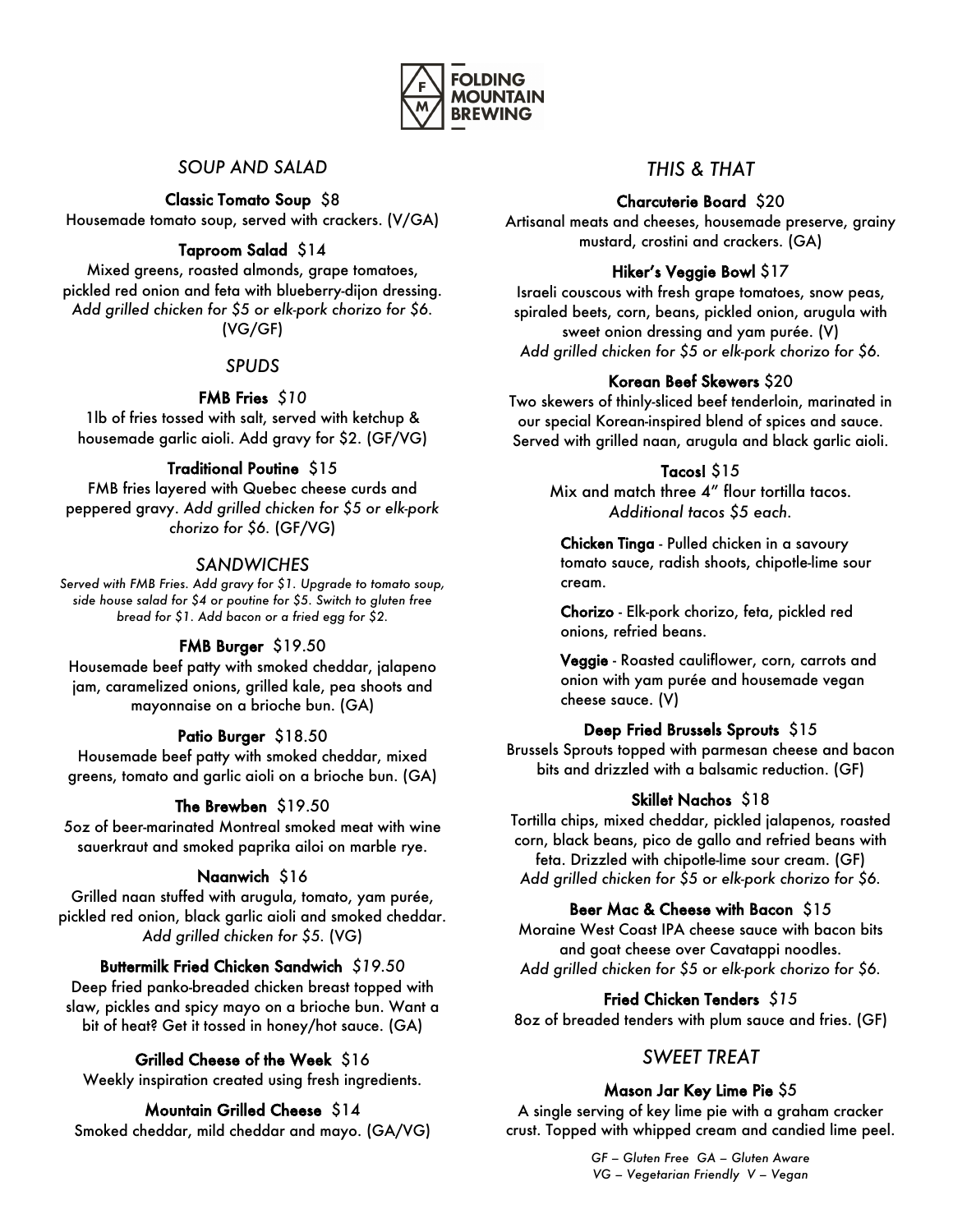

# *SOUP AND SALAD*

Classic Tomato Soup \$8 Housemade tomato soup, served with crackers. (V/GA)

# Taproom Salad \$14

Mixed greens, roasted almonds, grape tomatoes, pickled red onion and feta with blueberry-dijon dressing. *Add grilled chicken for \$5 or elk-pork chorizo for \$6.* (VG/GF)

## *SPUDS*

# FMB Fries *\$10*

1lb of fries tossed with salt, served with ketchup & housemade garlic aioli. Add gravy for \$2. (GF/VG)

# Traditional Poutine \$15

FMB fries layered with Quebec cheese curds and peppered gravy. *Add grilled chicken for \$5 or elk-pork chorizo for \$6.* (GF/VG)

# *SANDWICHES*

*Served with FMB Fries. Add gravy for \$1. Upgrade to tomato soup, side house salad for \$4 or poutine for \$5. Switch to gluten free bread for \$1. Add bacon or a fried egg for \$2.*

## FMB Burger \$19.50

Housemade beef patty with smoked cheddar, jalapeno jam, caramelized onions, grilled kale, pea shoots and mayonnaise on a brioche bun. (GA)

## Patio Burger \$18.50

Housemade beef patty with smoked cheddar, mixed greens, tomato and garlic aioli on a brioche bun. (GA)

## The Brewben \$19.50

5oz of beer-marinated Montreal smoked meat with wine sauerkraut and smoked paprika ailoi on marble rye.

## Naanwich \$16

Grilled naan stuffed with arugula, tomato, yam purée, pickled red onion, black garlic aioli and smoked cheddar. *Add grilled chicken for \$5.* (VG)

## Buttermilk Fried Chicken Sandwich *\$19.50*

Deep fried panko-breaded chicken breast topped with slaw, pickles and spicy mayo on a brioche bun. Want a bit of heat? Get it tossed in honey/hot sauce. (GA)

# Grilled Cheese of the Week \$16

Weekly inspiration created using fresh ingredients.

## Mountain Grilled Cheese \$14

Smoked cheddar, mild cheddar and mayo. (GA/VG)

# *THIS & THAT*

#### Charcuterie Board \$20

Artisanal meats and cheeses, housemade preserve, grainy mustard, crostini and crackers. (GA)

#### Hiker's Veggie Bowl \$17

Israeli couscous with fresh grape tomatoes, snow peas, spiraled beets, corn, beans, pickled onion, arugula with sweet onion dressing and yam purée. (V) *Add grilled chicken for \$5 or elk-pork chorizo for \$6.*

#### Korean Beef Skewers \$20

Two skewers of thinly-sliced beef tenderloin, marinated in our special Korean-inspired blend of spices and sauce. Served with grilled naan, arugula and black garlic aioli.

#### Tacos! \$15

Mix and match three 4" flour tortilla tacos. *Additional tacos \$5 each.* 

Chicken Tinga - Pulled chicken in a savoury tomato sauce, radish shoots, chipotle-lime sour cream.

Chorizo - Elk-pork chorizo, feta, pickled red onions, refried beans.

Veggie - Roasted cauliflower, corn, carrots and onion with yam purée and housemade vegan cheese sauce. (V)

## Deep Fried Brussels Sprouts \$15

Brussels Sprouts topped with parmesan cheese and bacon bits and drizzled with a balsamic reduction. (GF)

#### Skillet Nachos \$18

Tortilla chips, mixed cheddar, pickled jalapenos, roasted corn, black beans, pico de gallo and refried beans with feta. Drizzled with chipotle-lime sour cream. (GF) *Add grilled chicken for \$5 or elk-pork chorizo for \$6.*

## Beer Mac & Cheese with Bacon \$15

Moraine West Coast IPA cheese sauce with bacon bits and goat cheese over Cavatappi noodles. *Add grilled chicken for \$5 or elk-pork chorizo for \$6.*

## Fried Chicken Tenders *\$15*

8oz of breaded tenders with plum sauce and fries. (GF)

# *SWEET TREAT*

## Mason Jar Key Lime Pie \$5

A single serving of key lime pie with a graham cracker crust. Topped with whipped cream and candied lime peel.

> *GF – Gluten Free GA – Gluten Aware VG – Vegetarian Friendly V – Vegan*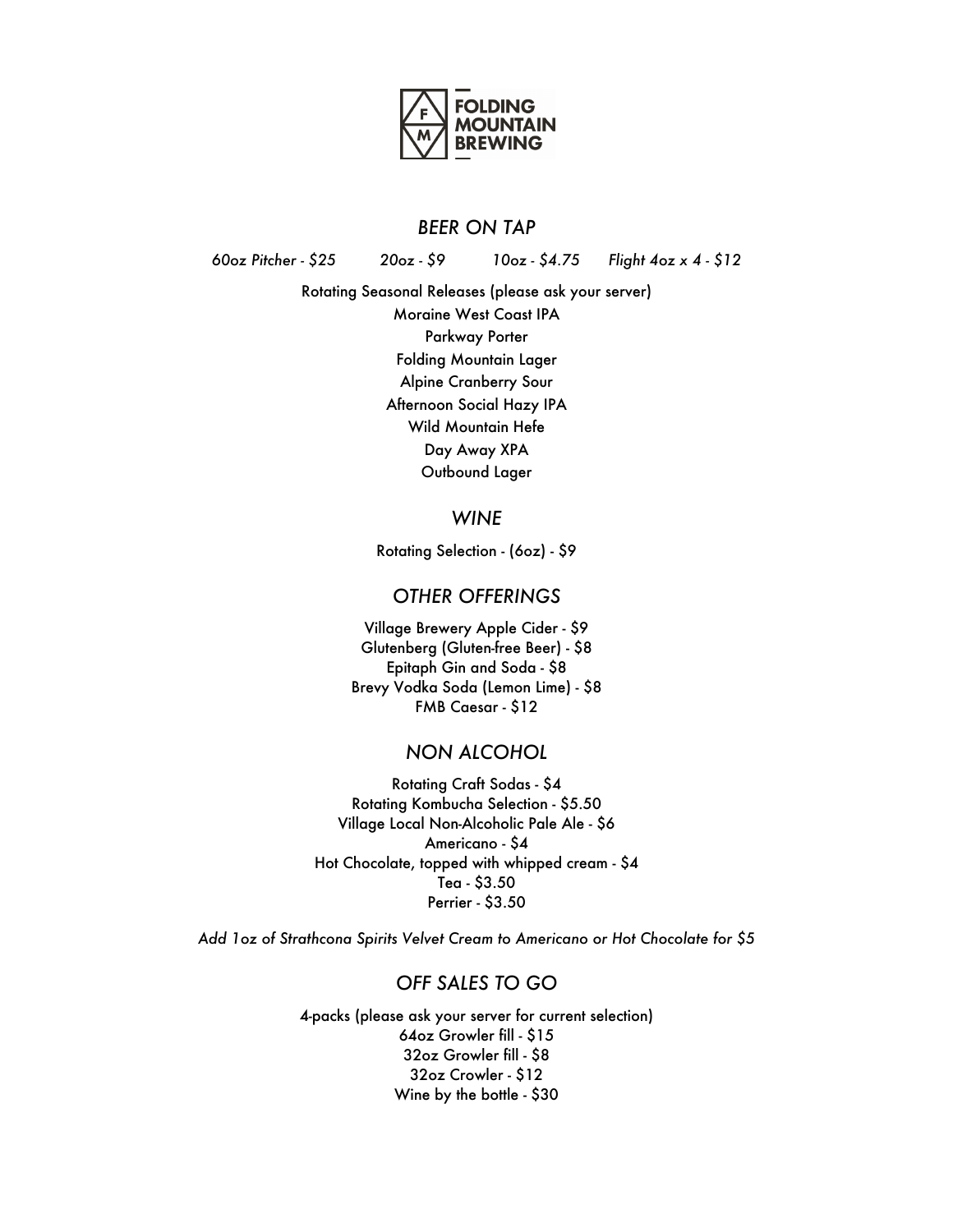

#### *BEER ON TAP*

*60oz Pitcher - \$25 20oz - \$9 10oz - \$4.75 Flight 4oz x 4 - \$12*

Rotating Seasonal Releases (please ask your server) Moraine West Coast IPA Parkway Porter Folding Mountain Lager Alpine Cranberry Sour Afternoon Social Hazy IPA Wild Mountain Hefe Day Away XPA Outbound Lager

#### *WINE*

Rotating Selection - (6oz) - \$9

#### *OTHER OFFERINGS*

Village Brewery Apple Cider - \$9 Glutenberg (Gluten-free Beer) - \$8 Epitaph Gin and Soda - \$8 Brevy Vodka Soda (Lemon Lime) - \$8 FMB Caesar - \$12

# *NON ALCOHOL*

Rotating Craft Sodas - \$4 Rotating Kombucha Selection - \$5.50 Village Local Non-Alcoholic Pale Ale - \$6 Americano - \$4 Hot Chocolate, topped with whipped cream - \$4 Tea - \$3.50 Perrier - \$3.50

*Add 1oz of Strathcona Spirits Velvet Cream to Americano or Hot Chocolate for \$5*

## *OFF SALES TO GO*

4-packs (please ask your server for current selection) 64oz Growler fill - \$15 32oz Growler fill - \$8 32oz Crowler - \$12 Wine by the bottle - \$30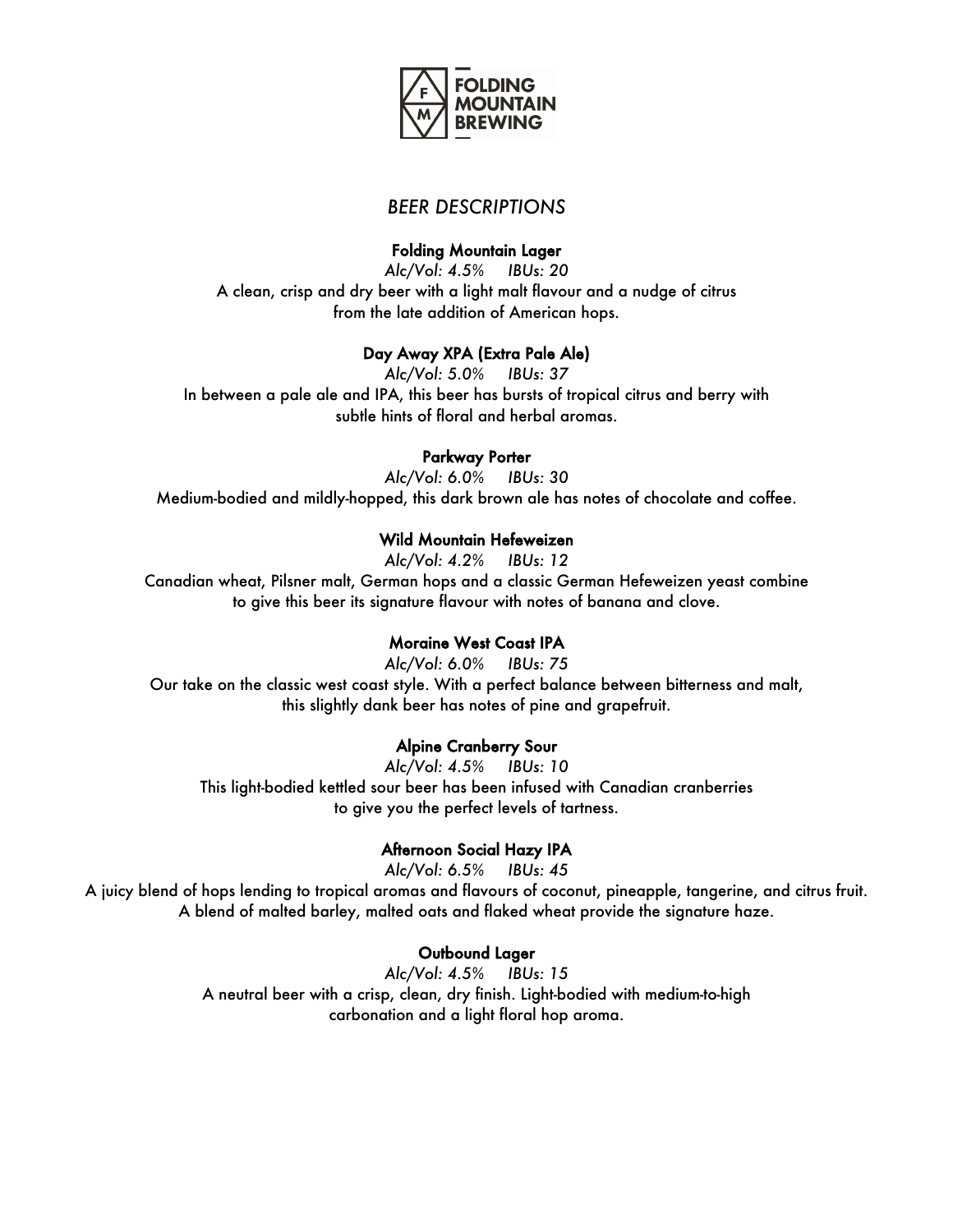

# *BEER DESCRIPTIONS*

# Folding Mountain Lager

*Alc/Vol: 4.5% IBUs: 20* A clean, crisp and dry beer with a light malt flavour and a nudge of citrus from the late addition of American hops.

# Day Away XPA (Extra Pale Ale)

*Alc/Vol: 5.0% IBUs: 37* In between a pale ale and IPA, this beer has bursts of tropical citrus and berry with subtle hints of floral and herbal aromas.

#### Parkway Porter

*Alc/Vol: 6.0% IBUs: 30* Medium-bodied and mildly-hopped, this dark brown ale has notes of chocolate and coffee.

# Wild Mountain Hefeweizen

*Alc/Vol: 4.2% IBUs: 12*

Canadian wheat, Pilsner malt, German hops and a classic German Hefeweizen yeast combine to give this beer its signature flavour with notes of banana and clove.

## Moraine West Coast IPA

*Alc/Vol: 6.0% IBUs: 75* Our take on the classic west coast style. With a perfect balance between bitterness and malt, this slightly dank beer has notes of pine and grapefruit.

## Alpine Cranberry Sour

*Alc/Vol: 4.5% IBUs: 10* This light-bodied kettled sour beer has been infused with Canadian cranberries to give you the perfect levels of tartness.

## Afternoon Social Hazy IPA

*Alc/Vol: 6.5% IBUs: 45*

A juicy blend of hops lending to tropical aromas and flavours of coconut, pineapple, tangerine, and citrus fruit. A blend of malted barley, malted oats and flaked wheat provide the signature haze.

## Outbound Lager

*Alc/Vol: 4.5% IBUs: 15* A neutral beer with a crisp, clean, dry finish. Light-bodied with medium-to-high carbonation and a light floral hop aroma.